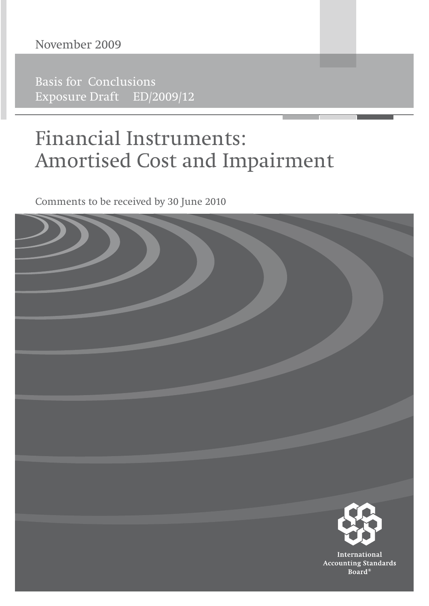### November 2009

**Basis for Conclusions** Exposure Draft ED/2009/12

# **Financial Instruments: Amortised Cost and Impairment**

Comments to be received by 30 June 2010

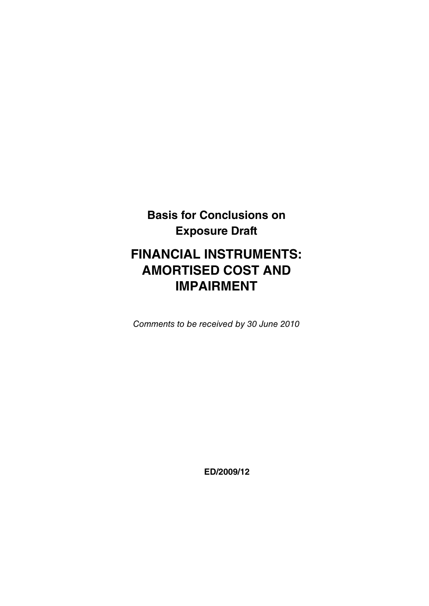# **Basis for Conclusions on Exposure Draft**

## **FINANCIAL INSTRUMENTS: AMORTISED COST AND IMPAIRMENT**

Comments to be received by 30 June 2010

**ED/2009/12**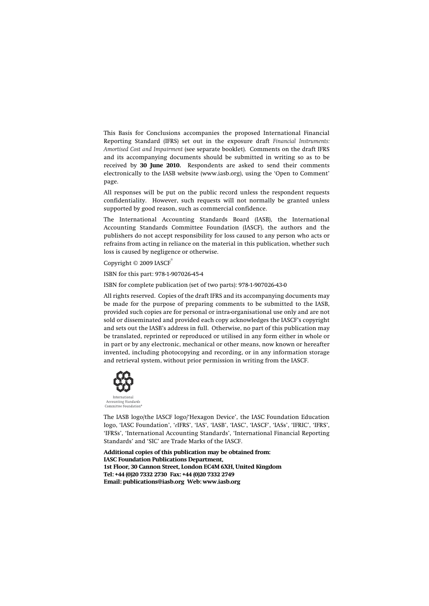This Basis for Conclusions accompanies the proposed International Financial Reporting Standard (IFRS) set out in the exposure draft *Financial Instruments: Amortised Cost and Impairment* (see separate booklet). Comments on the draft IFRS and its accompanying documents should be submitted in writing so as to be received by **30 June 2010.** Respondents are asked to send their comments electronically to the IASB website (www.iasb.org), using the 'Open to Comment' page.

All responses will be put on the public record unless the respondent requests confidentiality. However, such requests will not normally be granted unless supported by good reason, such as commercial confidence.

The International Accounting Standards Board (IASB), the International Accounting Standards Committee Foundation (IASCF), the authors and the publishers do not accept responsibility for loss caused to any person who acts or refrains from acting in reliance on the material in this publication, whether such loss is caused by negligence or otherwise.

Copyright © 2009 IASCF®

ISBN for this part: 978-1-907026-45-4

ISBN for complete publication (set of two parts): 978-1-907026-43-0

All rights reserved. Copies of the draft IFRS and its accompanying documents may be made for the purpose of preparing comments to be submitted to the IASB, provided such copies are for personal or intra-organisational use only and are not sold or disseminated and provided each copy acknowledges the IASCF's copyright and sets out the IASB's address in full. Otherwise, no part of this publication may be translated, reprinted or reproduced or utilised in any form either in whole or in part or by any electronic, mechanical or other means, now known or hereafter invented, including photocopying and recording, or in any information storage and retrieval system, without prior permission in writing from the IASCF.



Accounting Standards<br>Committee Foundation

The IASB logo/the IASCF logo/'Hexagon Device', the IASC Foundation Education logo, 'IASC Foundation', '*e*IFRS', 'IAS', 'IASB', 'IASC', 'IASCF', 'IASs', 'IFRIC', 'IFRS', 'IFRSs', 'International Accounting Standards', 'International Financial Reporting Standards' and 'SIC' are Trade Marks of the IASCF.

**Additional copies of this publication may be obtained from: IASC Foundation Publications Department, 1st Floor, 30 Cannon Street, London EC4M 6XH, United Kingdom Tel: +44 (0)20 7332 2730 Fax: +44 (0)20 7332 2749 Email: publications@iasb.org Web: www.iasb.org**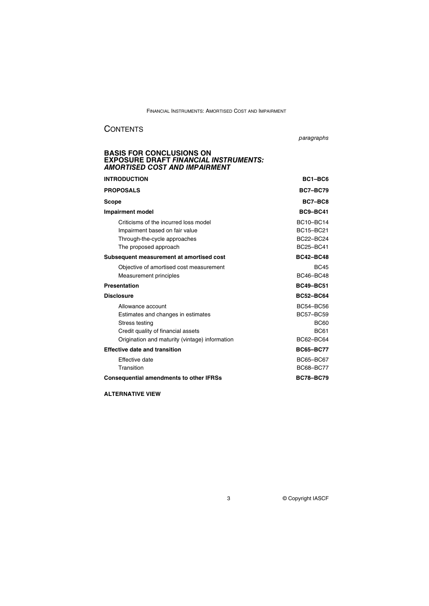#### **CONTENTS**

paragraphs

### **BASIS FOR CONCLUSIONS ON EXPOSURE DRAFT** *FINANCIAL INSTRUMENTS: AMORTISED COST AND IMPAIRMENT*

| <b>INTRODUCTION</b>                                                                                                                                               | $BC1-BCG$                                                                       |
|-------------------------------------------------------------------------------------------------------------------------------------------------------------------|---------------------------------------------------------------------------------|
| <b>PROPOSALS</b>                                                                                                                                                  | <b>BC7-BC79</b>                                                                 |
| <b>Scope</b>                                                                                                                                                      | BC7-BC8                                                                         |
| <b>Impairment model</b>                                                                                                                                           | BC9-BC41                                                                        |
| Criticisms of the incurred loss model<br>Impairment based on fair value<br>Through-the-cycle approaches<br>The proposed approach                                  | <b>BC10-BC14</b><br>BC15-BC21<br><b>BC22-BC24</b><br><b>BC25-BC41</b>           |
| Subsequent measurement at amortised cost                                                                                                                          | <b>BC42-BC48</b>                                                                |
| Objective of amortised cost measurement<br>Measurement principles                                                                                                 | <b>BC45</b><br><b>BC46-BC48</b>                                                 |
| <b>Presentation</b>                                                                                                                                               | <b>BC49-BC51</b>                                                                |
| <b>Disclosure</b>                                                                                                                                                 | <b>BC52-BC64</b>                                                                |
| Allowance account<br>Estimates and changes in estimates<br>Stress testing<br>Credit quality of financial assets<br>Origination and maturity (vintage) information | <b>BC54-BC56</b><br><b>BC57-BC59</b><br><b>BC60</b><br><b>BC61</b><br>BC62-BC64 |
| <b>Effective date and transition</b>                                                                                                                              | <b>BC65-BC77</b>                                                                |
| Effective date<br>Transition                                                                                                                                      | <b>BC65-BC67</b><br>BC68-BC77                                                   |
| <b>Consequential amendments to other IFRSs</b>                                                                                                                    | <b>BC78-BC79</b>                                                                |

#### **ALTERNATIVE VIEW**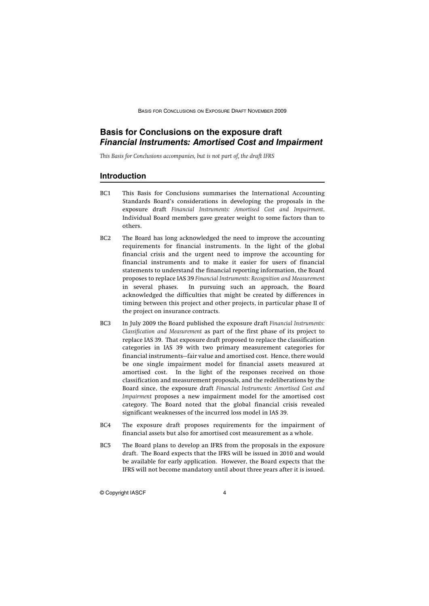#### **Basis for Conclusions on the exposure draft** *Financial Instruments: Amortised Cost and Impairment*

*This Basis for Conclusions accompanies, but is not part of, the draft IFRS*

#### **Introduction**

- BC1 This Basis for Conclusions summarises the International Accounting Standards Board's considerations in developing the proposals in the exposure draft *Financial Instruments: Amortised Cost and Impairment*. Individual Board members gave greater weight to some factors than to others.
- BC2 The Board has long acknowledged the need to improve the accounting requirements for financial instruments. In the light of the global financial crisis and the urgent need to improve the accounting for financial instruments and to make it easier for users of financial statements to understand the financial reporting information, the Board proposes to replace IAS 39 *Financial Instruments: Recognition and Measurement* in several phases. In pursuing such an approach, the Board acknowledged the difficulties that might be created by differences in timing between this project and other projects, in particular phase II of the project on insurance contracts.
- BC3 In July 2009 the Board published the exposure draft *Financial Instruments: Classification and Measurement* as part of the first phase of its project to replace IAS 39. That exposure draft proposed to replace the classification categories in IAS 39 with two primary measurement categories for financial instruments—fair value and amortised cost. Hence, there would be one single impairment model for financial assets measured at amortised cost. In the light of the responses received on those classification and measurement proposals, and the redeliberations by the Board since, the exposure draft *Financial Instruments: Amortised Cost and Impairment* proposes a new impairment model for the amortised cost category. The Board noted that the global financial crisis revealed significant weaknesses of the incurred loss model in IAS 39.
- BC4 The exposure draft proposes requirements for the impairment of financial assets but also for amortised cost measurement as a whole.
- BC5 The Board plans to develop an IFRS from the proposals in the exposure draft. The Board expects that the IFRS will be issued in 2010 and would be available for early application. However, the Board expects that the IFRS will not become mandatory until about three years after it is issued.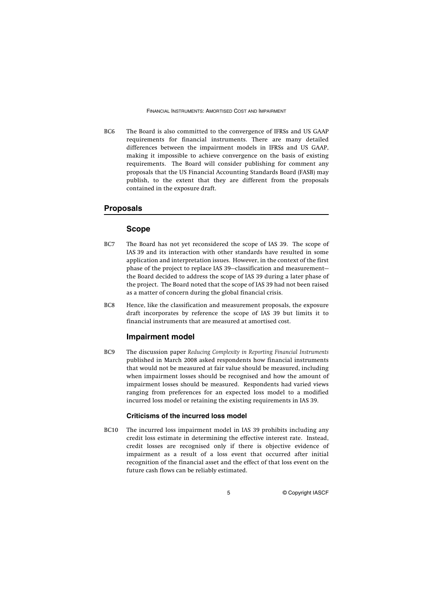BC6 The Board is also committed to the convergence of IFRSs and US GAAP requirements for financial instruments. There are many detailed differences between the impairment models in IFRSs and US GAAP, making it impossible to achieve convergence on the basis of existing requirements. The Board will consider publishing for comment any proposals that the US Financial Accounting Standards Board (FASB) may publish, to the extent that they are different from the proposals contained in the exposure draft.

#### **Proposals**

#### **Scope**

- BC7 The Board has not yet reconsidered the scope of IAS 39. The scope of IAS 39 and its interaction with other standards have resulted in some application and interpretation issues. However, in the context of the first phase of the project to replace IAS 39—classification and measurement the Board decided to address the scope of IAS 39 during a later phase of the project. The Board noted that the scope of IAS 39 had not been raised as a matter of concern during the global financial crisis.
- BC8 Hence, like the classification and measurement proposals, the exposure draft incorporates by reference the scope of IAS 39 but limits it to financial instruments that are measured at amortised cost.

#### **Impairment model**

BC9 The discussion paper *Reducing Complexity in Reporting Financial Instruments* published in March 2008 asked respondents how financial instruments that would not be measured at fair value should be measured, including when impairment losses should be recognised and how the amount of impairment losses should be measured. Respondents had varied views ranging from preferences for an expected loss model to a modified incurred loss model or retaining the existing requirements in IAS 39.

#### **Criticisms of the incurred loss model**

BC10 The incurred loss impairment model in IAS 39 prohibits including any credit loss estimate in determining the effective interest rate. Instead, credit losses are recognised only if there is objective evidence of impairment as a result of a loss event that occurred after initial recognition of the financial asset and the effect of that loss event on the future cash flows can be reliably estimated.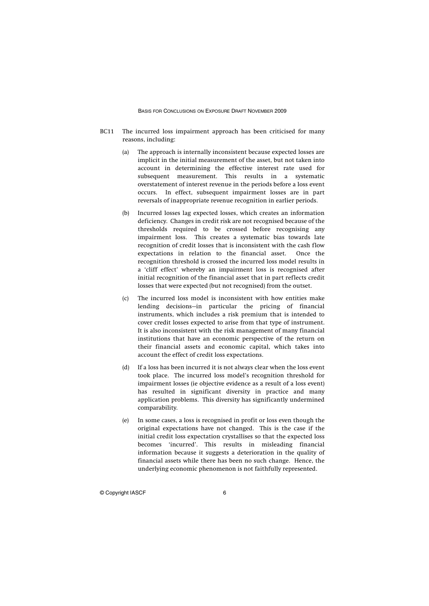- BC11 The incurred loss impairment approach has been criticised for many reasons, including:
	- (a) The approach is internally inconsistent because expected losses are implicit in the initial measurement of the asset, but not taken into account in determining the effective interest rate used for subsequent measurement. This results in a systematic overstatement of interest revenue in the periods before a loss event occurs. In effect, subsequent impairment losses are in part reversals of inappropriate revenue recognition in earlier periods.
	- (b) Incurred losses lag expected losses, which creates an information deficiency. Changes in credit risk are not recognised because of the thresholds required to be crossed before recognising any impairment loss. This creates a systematic bias towards late recognition of credit losses that is inconsistent with the cash flow expectations in relation to the financial asset. Once the recognition threshold is crossed the incurred loss model results in a 'cliff effect' whereby an impairment loss is recognised after initial recognition of the financial asset that in part reflects credit losses that were expected (but not recognised) from the outset.
	- (c) The incurred loss model is inconsistent with how entities make lending decisions—in particular the pricing of financial instruments, which includes a risk premium that is intended to cover credit losses expected to arise from that type of instrument. It is also inconsistent with the risk management of many financial institutions that have an economic perspective of the return on their financial assets and economic capital, which takes into account the effect of credit loss expectations.
	- (d) If a loss has been incurred it is not always clear when the loss event took place. The incurred loss model's recognition threshold for impairment losses (ie objective evidence as a result of a loss event) has resulted in significant diversity in practice and many application problems. This diversity has significantly undermined comparability.
	- (e) In some cases, a loss is recognised in profit or loss even though the original expectations have not changed. This is the case if the initial credit loss expectation crystallises so that the expected loss becomes 'incurred'. This results in misleading financial information because it suggests a deterioration in the quality of financial assets while there has been no such change. Hence, the underlying economic phenomenon is not faithfully represented.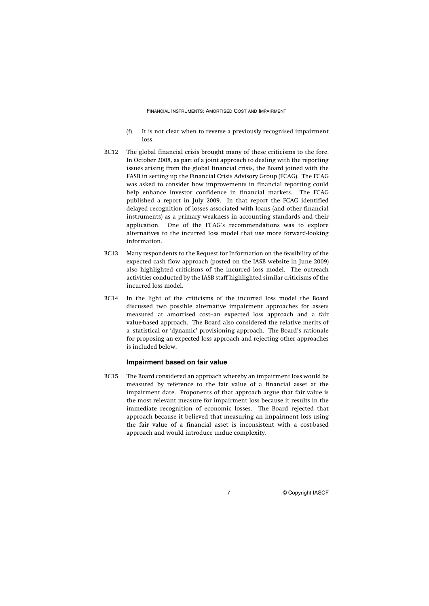- (f) It is not clear when to reverse a previously recognised impairment loss.
- BC12 The global financial crisis brought many of these criticisms to the fore. In October 2008, as part of a joint approach to dealing with the reporting issues arising from the global financial crisis, the Board joined with the FASB in setting up the Financial Crisis Advisory Group (FCAG). The FCAG was asked to consider how improvements in financial reporting could help enhance investor confidence in financial markets. The FCAG published a report in July 2009. In that report the FCAG identified delayed recognition of losses associated with loans (and other financial instruments) as a primary weakness in accounting standards and their application. One of the FCAG's recommendations was to explore alternatives to the incurred loss model that use more forward-looking information.
- BC13 Many respondents to the Request for Information on the feasibility of the expected cash flow approach (posted on the IASB website in June 2009) also highlighted criticisms of the incurred loss model. The outreach activities conducted by the IASB staff highlighted similar criticisms of the incurred loss model.
- BC14 In the light of the criticisms of the incurred loss model the Board discussed two possible alternative impairment approaches for assets measured at amortised cost–an expected loss approach and a fair value-based approach. The Board also considered the relative merits of a statistical or 'dynamic' provisioning approach. The Board's rationale for proposing an expected loss approach and rejecting other approaches is included below.

#### **Impairment based on fair value**

BC15 The Board considered an approach whereby an impairment loss would be measured by reference to the fair value of a financial asset at the impairment date. Proponents of that approach argue that fair value is the most relevant measure for impairment loss because it results in the immediate recognition of economic losses. The Board rejected that approach because it believed that measuring an impairment loss using the fair value of a financial asset is inconsistent with a cost-based approach and would introduce undue complexity.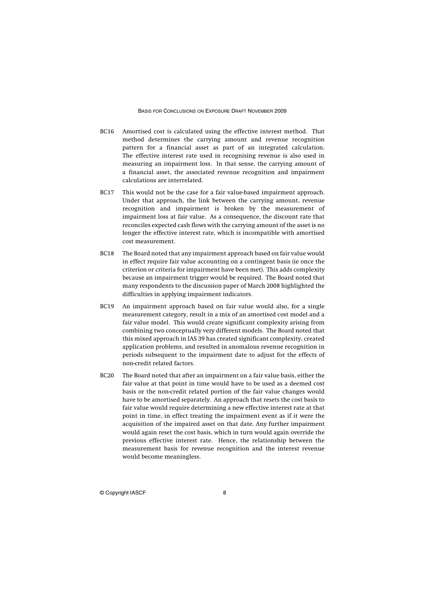- BC16 Amortised cost is calculated using the effective interest method. That method determines the carrying amount and revenue recognition pattern for a financial asset as part of an integrated calculation. The effective interest rate used in recognising revenue is also used in measuring an impairment loss. In that sense, the carrying amount of a financial asset, the associated revenue recognition and impairment calculations are interrelated.
- BC17 This would not be the case for a fair value-based impairment approach. Under that approach, the link between the carrying amount, revenue recognition and impairment is broken by the measurement of impairment loss at fair value. As a consequence, the discount rate that reconciles expected cash flows with the carrying amount of the asset is no longer the effective interest rate, which is incompatible with amortised cost measurement.
- BC18 The Board noted that any impairment approach based on fair value would in effect require fair value accounting on a contingent basis (ie once the criterion or criteria for impairment have been met). This adds complexity because an impairment trigger would be required. The Board noted that many respondents to the discussion paper of March 2008 highlighted the difficulties in applying impairment indicators.
- BC19 An impairment approach based on fair value would also, for a single measurement category, result in a mix of an amortised cost model and a fair value model. This would create significant complexity arising from combining two conceptually very different models. The Board noted that this mixed approach in IAS 39 has created significant complexity, created application problems, and resulted in anomalous revenue recognition in periods subsequent to the impairment date to adjust for the effects of non-credit related factors.
- BC20 The Board noted that after an impairment on a fair value basis, either the fair value at that point in time would have to be used as a deemed cost basis or the non-credit related portion of the fair value changes would have to be amortised separately. An approach that resets the cost basis to fair value would require determining a new effective interest rate at that point in time, in effect treating the impairment event as if it were the acquisition of the impaired asset on that date. Any further impairment would again reset the cost basis, which in turn would again override the previous effective interest rate. Hence, the relationship between the measurement basis for revenue recognition and the interest revenue would become meaningless.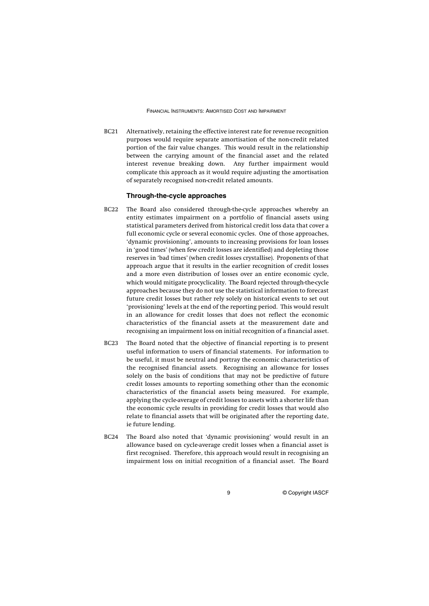BC21 Alternatively, retaining the effective interest rate for revenue recognition purposes would require separate amortisation of the non-credit related portion of the fair value changes. This would result in the relationship between the carrying amount of the financial asset and the related interest revenue breaking down. Any further impairment would complicate this approach as it would require adjusting the amortisation of separately recognised non-credit related amounts.

#### **Through-the-cycle approaches**

- BC22 The Board also considered through-the-cycle approaches whereby an entity estimates impairment on a portfolio of financial assets using statistical parameters derived from historical credit loss data that cover a full economic cycle or several economic cycles. One of those approaches, 'dynamic provisioning', amounts to increasing provisions for loan losses in 'good times' (when few credit losses are identified) and depleting those reserves in 'bad times' (when credit losses crystallise). Proponents of that approach argue that it results in the earlier recognition of credit losses and a more even distribution of losses over an entire economic cycle, which would mitigate procyclicality. The Board rejected through-the-cycle approaches because they do not use the statistical information to forecast future credit losses but rather rely solely on historical events to set out 'provisioning' levels at the end of the reporting period. This would result in an allowance for credit losses that does not reflect the economic characteristics of the financial assets at the measurement date and recognising an impairment loss on initial recognition of a financial asset.
- BC23 The Board noted that the objective of financial reporting is to present useful information to users of financial statements. For information to be useful, it must be neutral and portray the economic characteristics of the recognised financial assets. Recognising an allowance for losses solely on the basis of conditions that may not be predictive of future credit losses amounts to reporting something other than the economic characteristics of the financial assets being measured. For example, applying the cycle-average of credit losses to assets with a shorter life than the economic cycle results in providing for credit losses that would also relate to financial assets that will be originated after the reporting date, ie future lending.
- BC24 The Board also noted that 'dynamic provisioning' would result in an allowance based on cycle-average credit losses when a financial asset is first recognised. Therefore, this approach would result in recognising an impairment loss on initial recognition of a financial asset. The Board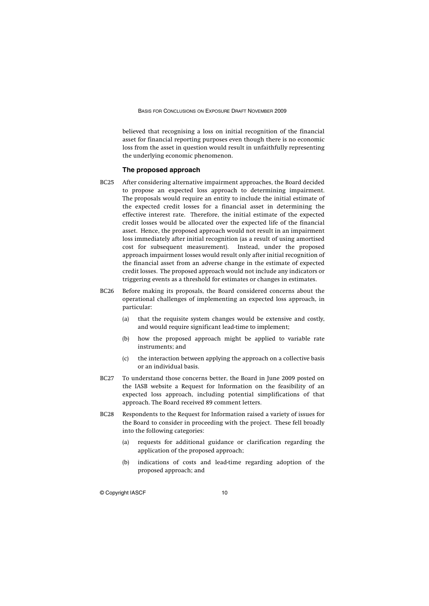believed that recognising a loss on initial recognition of the financial asset for financial reporting purposes even though there is no economic loss from the asset in question would result in unfaithfully representing the underlying economic phenomenon.

#### **The proposed approach**

- BC25 After considering alternative impairment approaches, the Board decided to propose an expected loss approach to determining impairment. The proposals would require an entity to include the initial estimate of the expected credit losses for a financial asset in determining the effective interest rate. Therefore, the initial estimate of the expected credit losses would be allocated over the expected life of the financial asset. Hence, the proposed approach would not result in an impairment loss immediately after initial recognition (as a result of using amortised cost for subsequent measurement). Instead, under the proposed approach impairment losses would result only after initial recognition of the financial asset from an adverse change in the estimate of expected credit losses. The proposed approach would not include any indicators or triggering events as a threshold for estimates or changes in estimates.
- BC26 Before making its proposals, the Board considered concerns about the operational challenges of implementing an expected loss approach, in particular:
	- (a) that the requisite system changes would be extensive and costly, and would require significant lead-time to implement;
	- (b) how the proposed approach might be applied to variable rate instruments; and
	- (c) the interaction between applying the approach on a collective basis or an individual basis.
- BC27 To understand those concerns better, the Board in June 2009 posted on the IASB website a Request for Information on the feasibility of an expected loss approach, including potential simplifications of that approach. The Board received 89 comment letters.
- BC28 Respondents to the Request for Information raised a variety of issues for the Board to consider in proceeding with the project. These fell broadly into the following categories:
	- (a) requests for additional guidance or clarification regarding the application of the proposed approach;
	- (b) indications of costs and lead-time regarding adoption of the proposed approach; and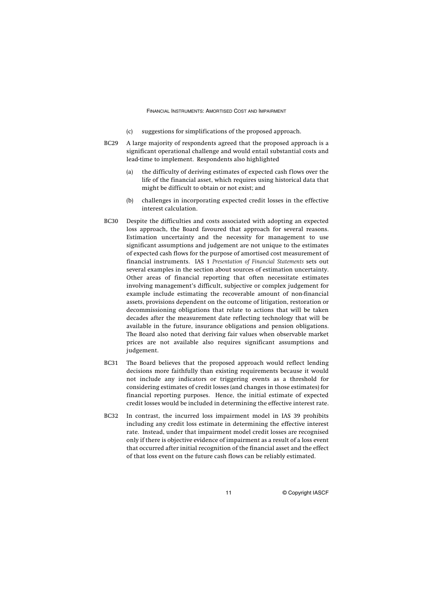- (c) suggestions for simplifications of the proposed approach.
- BC29 A large majority of respondents agreed that the proposed approach is a significant operational challenge and would entail substantial costs and lead-time to implement. Respondents also highlighted
	- (a) the difficulty of deriving estimates of expected cash flows over the life of the financial asset, which requires using historical data that might be difficult to obtain or not exist; and
	- (b) challenges in incorporating expected credit losses in the effective interest calculation.
- BC30 Despite the difficulties and costs associated with adopting an expected loss approach, the Board favoured that approach for several reasons. Estimation uncertainty and the necessity for management to use significant assumptions and judgement are not unique to the estimates of expected cash flows for the purpose of amortised cost measurement of financial instruments. IAS 1 *Presentation of Financial Statements* sets out several examples in the section about sources of estimation uncertainty. Other areas of financial reporting that often necessitate estimates involving management's difficult, subjective or complex judgement for example include estimating the recoverable amount of non-financial assets, provisions dependent on the outcome of litigation, restoration or decommissioning obligations that relate to actions that will be taken decades after the measurement date reflecting technology that will be available in the future, insurance obligations and pension obligations. The Board also noted that deriving fair values when observable market prices are not available also requires significant assumptions and judgement.
- BC31 The Board believes that the proposed approach would reflect lending decisions more faithfully than existing requirements because it would not include any indicators or triggering events as a threshold for considering estimates of credit losses (and changes in those estimates) for financial reporting purposes. Hence, the initial estimate of expected credit losses would be included in determining the effective interest rate.
- BC32 In contrast, the incurred loss impairment model in IAS 39 prohibits including any credit loss estimate in determining the effective interest rate. Instead, under that impairment model credit losses are recognised only if there is objective evidence of impairment as a result of a loss event that occurred after initial recognition of the financial asset and the effect of that loss event on the future cash flows can be reliably estimated.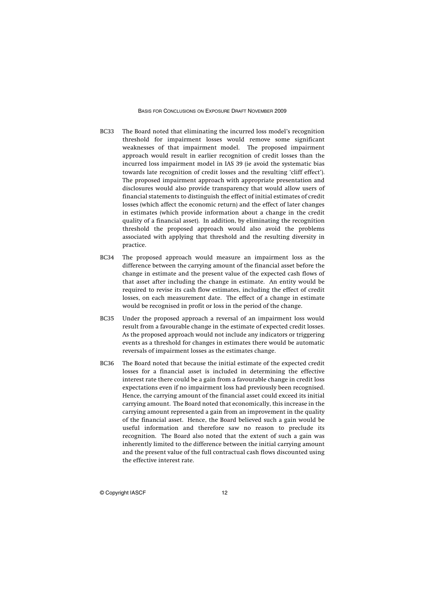- BC33 The Board noted that eliminating the incurred loss model's recognition threshold for impairment losses would remove some significant weaknesses of that impairment model. The proposed impairment approach would result in earlier recognition of credit losses than the incurred loss impairment model in IAS 39 (ie avoid the systematic bias towards late recognition of credit losses and the resulting 'cliff effect'). The proposed impairment approach with appropriate presentation and disclosures would also provide transparency that would allow users of financial statements to distinguish the effect of initial estimates of credit losses (which affect the economic return) and the effect of later changes in estimates (which provide information about a change in the credit quality of a financial asset). In addition, by eliminating the recognition threshold the proposed approach would also avoid the problems associated with applying that threshold and the resulting diversity in practice.
- BC34 The proposed approach would measure an impairment loss as the difference between the carrying amount of the financial asset before the change in estimate and the present value of the expected cash flows of that asset after including the change in estimate. An entity would be required to revise its cash flow estimates, including the effect of credit losses, on each measurement date. The effect of a change in estimate would be recognised in profit or loss in the period of the change.
- BC35 Under the proposed approach a reversal of an impairment loss would result from a favourable change in the estimate of expected credit losses. As the proposed approach would not include any indicators or triggering events as a threshold for changes in estimates there would be automatic reversals of impairment losses as the estimates change.
- BC36 The Board noted that because the initial estimate of the expected credit losses for a financial asset is included in determining the effective interest rate there could be a gain from a favourable change in credit loss expectations even if no impairment loss had previously been recognised. Hence, the carrying amount of the financial asset could exceed its initial carrying amount. The Board noted that economically, this increase in the carrying amount represented a gain from an improvement in the quality of the financial asset. Hence, the Board believed such a gain would be useful information and therefore saw no reason to preclude its recognition. The Board also noted that the extent of such a gain was inherently limited to the difference between the initial carrying amount and the present value of the full contractual cash flows discounted using the effective interest rate.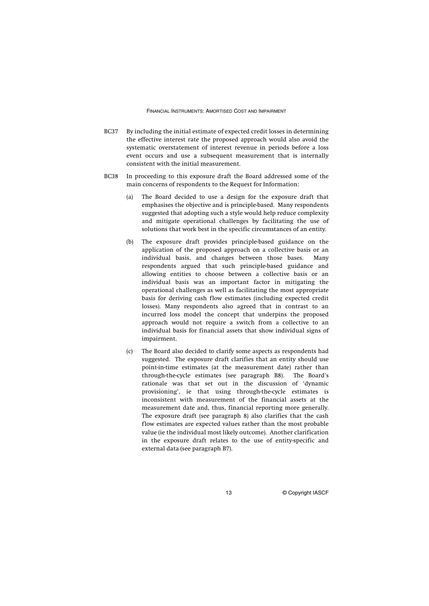- BC37 By including the initial estimate of expected credit losses in determining the effective interest rate the proposed approach would also avoid the systematic overstatement of interest revenue in periods before a loss event occurs and use a subsequent measurement that is internally consistent with the initial measurement.
- BC38 In proceeding to this exposure draft the Board addressed some of the main concerns of respondents to the Request for Information:
	- (a) The Board decided to use a design for the exposure draft that emphasises the objective and is principle-based. Many respondents suggested that adopting such a style would help reduce complexity and mitigate operational challenges by facilitating the use of solutions that work best in the specific circumstances of an entity.
	- (b) The exposure draft provides principle-based guidance on the application of the proposed approach on a collective basis or an individual basis, and changes between those bases. Many respondents argued that such principle-based guidance and allowing entities to choose between a collective basis or an individual basis was an important factor in mitigating the operational challenges as well as facilitating the most appropriate basis for deriving cash flow estimates (including expected credit losses). Many respondents also agreed that in contrast to an incurred loss model the concept that underpins the proposed approach would not require a switch from a collective to an individual basis for financial assets that show individual signs of impairment.
	- (c) The Board also decided to clarify some aspects as respondents had suggested. The exposure draft clarifies that an entity should use point-in-time estimates (at the measurement date) rather than through-the-cycle estimates (see paragraph B8). The Board's rationale was that set out in the discussion of 'dynamic provisioning', ie that using through-the-cycle estimates is inconsistent with measurement of the financial assets at the measurement date and, thus, financial reporting more generally. The exposure draft (see paragraph 8) also clarifies that the cash flow estimates are expected values rather than the most probable value (ie the individual most likely outcome). Another clarification in the exposure draft relates to the use of entity-specific and external data (see paragraph B7).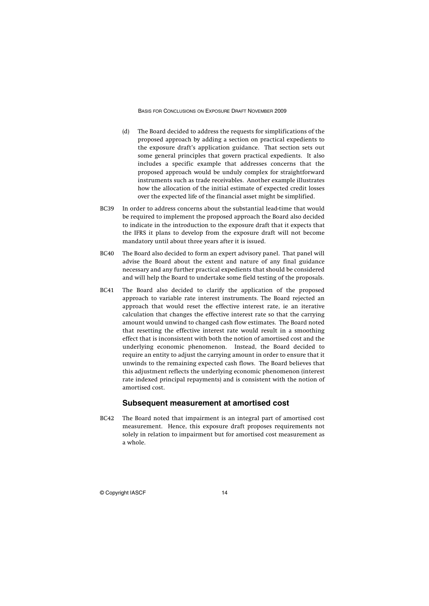- (d) The Board decided to address the requests for simplifications of the proposed approach by adding a section on practical expedients to the exposure draft's application guidance. That section sets out some general principles that govern practical expedients. It also includes a specific example that addresses concerns that the proposed approach would be unduly complex for straightforward instruments such as trade receivables. Another example illustrates how the allocation of the initial estimate of expected credit losses over the expected life of the financial asset might be simplified.
- BC39 In order to address concerns about the substantial lead-time that would be required to implement the proposed approach the Board also decided to indicate in the introduction to the exposure draft that it expects that the IFRS it plans to develop from the exposure draft will not become mandatory until about three years after it is issued.
- BC40 The Board also decided to form an expert advisory panel. That panel will advise the Board about the extent and nature of any final guidance necessary and any further practical expedients that should be considered and will help the Board to undertake some field testing of the proposals.
- BC41 The Board also decided to clarify the application of the proposed approach to variable rate interest instruments. The Board rejected an approach that would reset the effective interest rate, ie an iterative calculation that changes the effective interest rate so that the carrying amount would unwind to changed cash flow estimates. The Board noted that resetting the effective interest rate would result in a smoothing effect that is inconsistent with both the notion of amortised cost and the underlying economic phenomenon. Instead, the Board decided to require an entity to adjust the carrying amount in order to ensure that it unwinds to the remaining expected cash flows. The Board believes that this adjustment reflects the underlying economic phenomenon (interest rate indexed principal repayments) and is consistent with the notion of amortised cost.

#### **Subsequent measurement at amortised cost**

BC42 The Board noted that impairment is an integral part of amortised cost measurement. Hence, this exposure draft proposes requirements not solely in relation to impairment but for amortised cost measurement as a whole.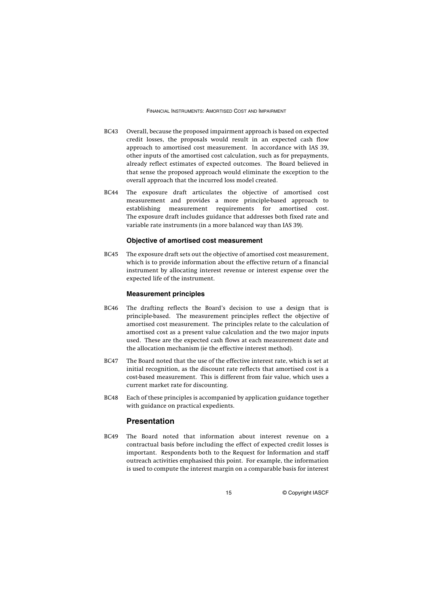- BC43 Overall, because the proposed impairment approach is based on expected credit losses, the proposals would result in an expected cash flow approach to amortised cost measurement. In accordance with IAS 39, other inputs of the amortised cost calculation, such as for prepayments, already reflect estimates of expected outcomes. The Board believed in that sense the proposed approach would eliminate the exception to the overall approach that the incurred loss model created.
- BC44 The exposure draft articulates the objective of amortised cost measurement and provides a more principle-based approach to establishing measurement requirements for amortised cost. The exposure draft includes guidance that addresses both fixed rate and variable rate instruments (in a more balanced way than IAS 39).

#### **Objective of amortised cost measurement**

BC45 The exposure draft sets out the objective of amortised cost measurement, which is to provide information about the effective return of a financial instrument by allocating interest revenue or interest expense over the expected life of the instrument.

#### **Measurement principles**

- BC46 The drafting reflects the Board's decision to use a design that is principle-based. The measurement principles reflect the objective of amortised cost measurement. The principles relate to the calculation of amortised cost as a present value calculation and the two major inputs used. These are the expected cash flows at each measurement date and the allocation mechanism (ie the effective interest method).
- BC47 The Board noted that the use of the effective interest rate, which is set at initial recognition, as the discount rate reflects that amortised cost is a cost-based measurement. This is different from fair value, which uses a current market rate for discounting.
- BC48 Each of these principles is accompanied by application guidance together with guidance on practical expedients.

#### **Presentation**

BC49 The Board noted that information about interest revenue on a contractual basis before including the effect of expected credit losses is important. Respondents both to the Request for Information and staff outreach activities emphasised this point. For example, the information is used to compute the interest margin on a comparable basis for interest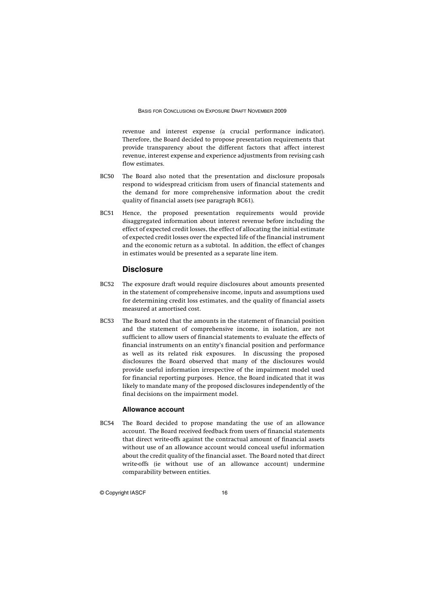revenue and interest expense (a crucial performance indicator). Therefore, the Board decided to propose presentation requirements that provide transparency about the different factors that affect interest revenue, interest expense and experience adjustments from revising cash flow estimates.

- BC50 The Board also noted that the presentation and disclosure proposals respond to widespread criticism from users of financial statements and the demand for more comprehensive information about the credit quality of financial assets (see paragraph BC61).
- BC51 Hence, the proposed presentation requirements would provide disaggregated information about interest revenue before including the effect of expected credit losses, the effect of allocating the initial estimate of expected credit losses over the expected life of the financial instrument and the economic return as a subtotal. In addition, the effect of changes in estimates would be presented as a separate line item.

#### **Disclosure**

- BC52 The exposure draft would require disclosures about amounts presented in the statement of comprehensive income, inputs and assumptions used for determining credit loss estimates, and the quality of financial assets measured at amortised cost.
- BC53 The Board noted that the amounts in the statement of financial position and the statement of comprehensive income, in isolation, are not sufficient to allow users of financial statements to evaluate the effects of financial instruments on an entity's financial position and performance as well as its related risk exposures. In discussing the proposed disclosures the Board observed that many of the disclosures would provide useful information irrespective of the impairment model used for financial reporting purposes. Hence, the Board indicated that it was likely to mandate many of the proposed disclosures independently of the final decisions on the impairment model.

#### **Allowance account**

BC54 The Board decided to propose mandating the use of an allowance account. The Board received feedback from users of financial statements that direct write-offs against the contractual amount of financial assets without use of an allowance account would conceal useful information about the credit quality of the financial asset. The Board noted that direct write-offs (ie without use of an allowance account) undermine comparability between entities.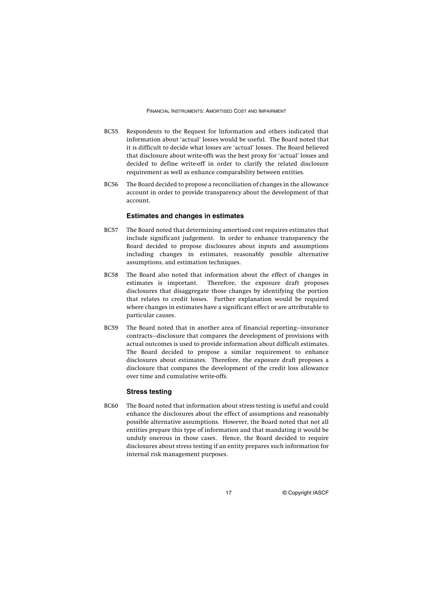- BC55 Respondents to the Request for Information and others indicated that information about 'actual' losses would be useful. The Board noted that it is difficult to decide what losses are 'actual' losses. The Board believed that disclosure about write-offs was the best proxy for 'actual' losses and decided to define write-off in order to clarify the related disclosure requirement as well as enhance comparability between entities.
- BC56 The Board decided to propose a reconciliation of changes in the allowance account in order to provide transparency about the development of that account.

#### **Estimates and changes in estimates**

- BC57 The Board noted that determining amortised cost requires estimates that include significant judgement. In order to enhance transparency the Board decided to propose disclosures about inputs and assumptions including changes in estimates, reasonably possible alternative assumptions, and estimation techniques.
- BC58 The Board also noted that information about the effect of changes in estimates is important. Therefore, the exposure draft proposes disclosures that disaggregate those changes by identifying the portion that relates to credit losses. Further explanation would be required where changes in estimates have a significant effect or are attributable to particular causes.
- BC59 The Board noted that in another area of financial reporting—insurance contracts—disclosure that compares the development of provisions with actual outcomes is used to provide information about difficult estimates. The Board decided to propose a similar requirement to enhance disclosures about estimates. Therefore, the exposure draft proposes a disclosure that compares the development of the credit loss allowance over time and cumulative write-offs.

#### **Stress testing**

BC60 The Board noted that information about stress testing is useful and could enhance the disclosures about the effect of assumptions and reasonably possible alternative assumptions. However, the Board noted that not all entities prepare this type of information and that mandating it would be unduly onerous in those cases. Hence, the Board decided to require disclosures about stress testing if an entity prepares such information for internal risk management purposes.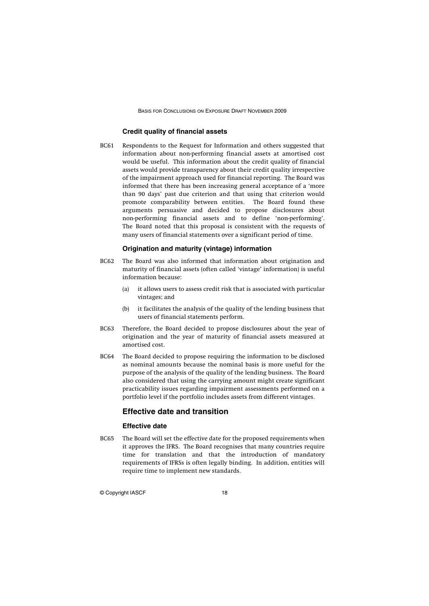#### **Credit quality of financial assets**

BC61 Respondents to the Request for Information and others suggested that information about non-performing financial assets at amortised cost would be useful. This information about the credit quality of financial assets would provide transparency about their credit quality irrespective of the impairment approach used for financial reporting. The Board was informed that there has been increasing general acceptance of a 'more than 90 days' past due criterion and that using that criterion would promote comparability between entities. The Board found these arguments persuasive and decided to propose disclosures about non-performing financial assets and to define 'non-performing'. The Board noted that this proposal is consistent with the requests of many users of financial statements over a significant period of time.

#### **Origination and maturity (vintage) information**

- BC62 The Board was also informed that information about origination and maturity of financial assets (often called 'vintage' information) is useful information because:
	- (a) it allows users to assess credit risk that is associated with particular vintages; and
	- (b) it facilitates the analysis of the quality of the lending business that users of financial statements perform.
- BC63 Therefore, the Board decided to propose disclosures about the year of origination and the year of maturity of financial assets measured at amortised cost.
- BC64 The Board decided to propose requiring the information to be disclosed as nominal amounts because the nominal basis is more useful for the purpose of the analysis of the quality of the lending business. The Board also considered that using the carrying amount might create significant practicability issues regarding impairment assessments performed on a portfolio level if the portfolio includes assets from different vintages.

#### **Effective date and transition**

#### **Effective date**

BC65 The Board will set the effective date for the proposed requirements when it approves the IFRS. The Board recognises that many countries require time for translation and that the introduction of mandatory requirements of IFRSs is often legally binding. In addition, entities will require time to implement new standards.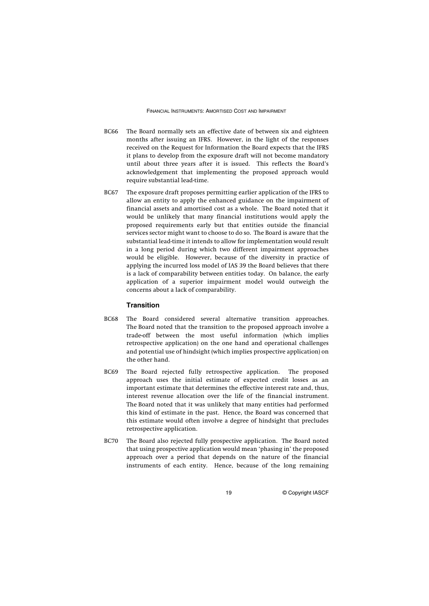- BC66 The Board normally sets an effective date of between six and eighteen months after issuing an IFRS. However, in the light of the responses received on the Request for Information the Board expects that the IFRS it plans to develop from the exposure draft will not become mandatory until about three years after it is issued. This reflects the Board's acknowledgement that implementing the proposed approach would require substantial lead-time.
- BC67 The exposure draft proposes permitting earlier application of the IFRS to allow an entity to apply the enhanced guidance on the impairment of financial assets and amortised cost as a whole. The Board noted that it would be unlikely that many financial institutions would apply the proposed requirements early but that entities outside the financial services sector might want to choose to do so. The Board is aware that the substantial lead-time it intends to allow for implementation would result in a long period during which two different impairment approaches would be eligible. However, because of the diversity in practice of applying the incurred loss model of IAS 39 the Board believes that there is a lack of comparability between entities today. On balance, the early application of a superior impairment model would outweigh the concerns about a lack of comparability.

#### **Transition**

- BC68 The Board considered several alternative transition approaches. The Board noted that the transition to the proposed approach involve a trade-off between the most useful information (which implies retrospective application) on the one hand and operational challenges and potential use of hindsight (which implies prospective application) on the other hand.
- BC69 The Board rejected fully retrospective application. The proposed approach uses the initial estimate of expected credit losses as an important estimate that determines the effective interest rate and, thus, interest revenue allocation over the life of the financial instrument. The Board noted that it was unlikely that many entities had performed this kind of estimate in the past. Hence, the Board was concerned that this estimate would often involve a degree of hindsight that precludes retrospective application.
- BC70 The Board also rejected fully prospective application. The Board noted that using prospective application would mean 'phasing in' the proposed approach over a period that depends on the nature of the financial instruments of each entity. Hence, because of the long remaining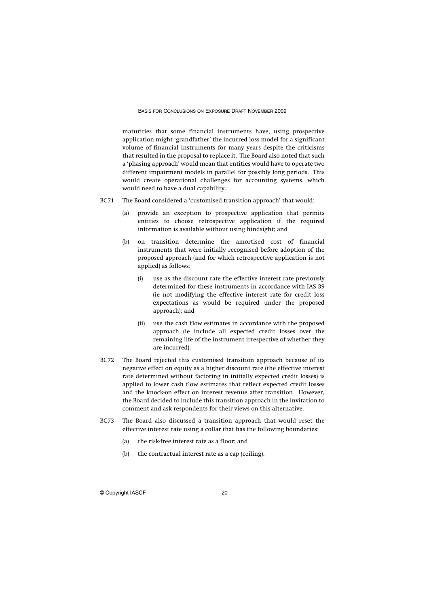maturities that some financial instruments have, using prospective application might 'grandfather' the incurred loss model for a significant volume of financial instruments for many years despite the criticisms that resulted in the proposal to replace it. The Board also noted that such a 'phasing approach' would mean that entities would have to operate two different impairment models in parallel for possibly long periods. This would create operational challenges for accounting systems, which would need to have a dual capability.

- BC71 The Board considered a 'customised transition approach' that would:
	- (a) provide an exception to prospective application that permits entities to choose retrospective application if the required information is available without using hindsight; and
	- (b) on transition determine the amortised cost of financial instruments that were initially recognised before adoption of the proposed approach (and for which retrospective application is not applied) as follows:
		- (i) use as the discount rate the effective interest rate previously determined for these instruments in accordance with IAS 39 (ie not modifying the effective interest rate for credit loss expectations as would be required under the proposed approach); and
		- (ii) use the cash flow estimates in accordance with the proposed approach (ie include all expected credit losses over the remaining life of the instrument irrespective of whether they are incurred).
- BC72 The Board rejected this customised transition approach because of its negative effect on equity as a higher discount rate (the effective interest rate determined without factoring in initially expected credit losses) is applied to lower cash flow estimates that reflect expected credit losses and the knock-on effect on interest revenue after transition. However, the Board decided to include this transition approach in the invitation to comment and ask respondents for their views on this alternative.
- BC73 The Board also discussed a transition approach that would reset the effective interest rate using a collar that has the following boundaries:
	- (a) the risk-free interest rate as a floor; and
	- (b) the contractual interest rate as a cap (ceiling).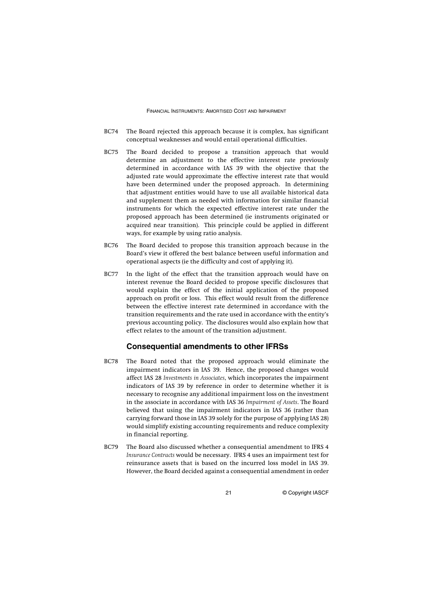- BC74 The Board rejected this approach because it is complex, has significant conceptual weaknesses and would entail operational difficulties.
- BC75 The Board decided to propose a transition approach that would determine an adjustment to the effective interest rate previously determined in accordance with IAS 39 with the objective that the adjusted rate would approximate the effective interest rate that would have been determined under the proposed approach. In determining that adjustment entities would have to use all available historical data and supplement them as needed with information for similar financial instruments for which the expected effective interest rate under the proposed approach has been determined (ie instruments originated or acquired near transition). This principle could be applied in different ways, for example by using ratio analysis.
- BC76 The Board decided to propose this transition approach because in the Board's view it offered the best balance between useful information and operational aspects (ie the difficulty and cost of applying it).
- BC77 In the light of the effect that the transition approach would have on interest revenue the Board decided to propose specific disclosures that would explain the effect of the initial application of the proposed approach on profit or loss. This effect would result from the difference between the effective interest rate determined in accordance with the transition requirements and the rate used in accordance with the entity's previous accounting policy. The disclosures would also explain how that effect relates to the amount of the transition adjustment.

#### **Consequential amendments to other IFRSs**

- BC78 The Board noted that the proposed approach would eliminate the impairment indicators in IAS 39. Hence, the proposed changes would affect IAS 28 *Investments in Associates*, which incorporates the impairment indicators of IAS 39 by reference in order to determine whether it is necessary to recognise any additional impairment loss on the investment in the associate in accordance with IAS 36 *Impairment of Assets*. The Board believed that using the impairment indicators in IAS 36 (rather than carrying forward those in IAS 39 solely for the purpose of applying IAS 28) would simplify existing accounting requirements and reduce complexity in financial reporting.
- BC79 The Board also discussed whether a consequential amendment to IFRS 4 *Insurance Contracts* would be necessary. IFRS 4 uses an impairment test for reinsurance assets that is based on the incurred loss model in IAS 39. However, the Board decided against a consequential amendment in order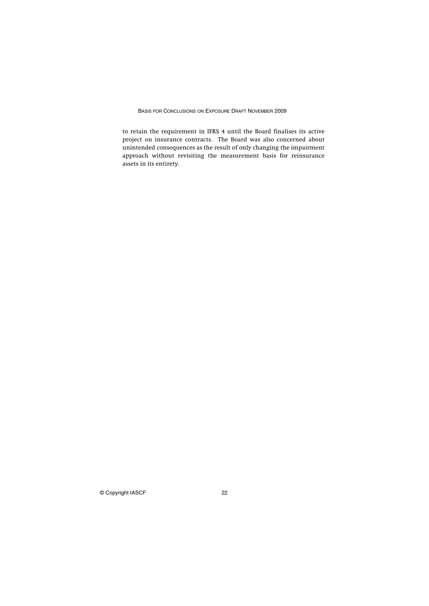to retain the requirement in IFRS 4 until the Board finalises its active project on insurance contracts. The Board was also concerned about unintended consequences as the result of only changing the impairment approach without revisiting the measurement basis for reinsurance assets in its entirety.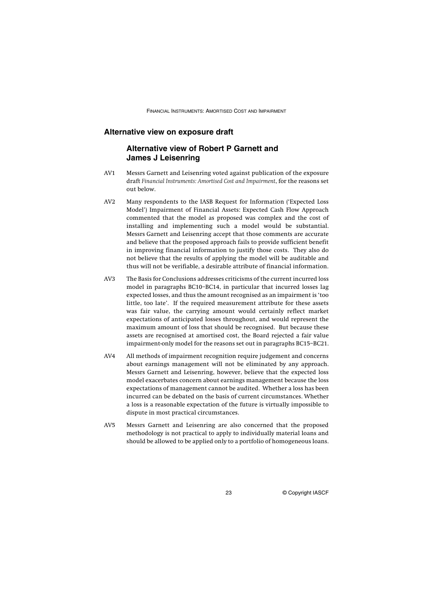#### **Alternative view on exposure draft**

#### **Alternative view of Robert P Garnett and James J Leisenring**

- AV1 Messrs Garnett and Leisenring voted against publication of the exposure draft *Financial Instruments: Amortised Cost and Impairment*, for the reasons set out below.
- AV2 Many respondents to the IASB Request for Information ('Expected Loss Model') Impairment of Financial Assets: Expected Cash Flow Approach commented that the model as proposed was complex and the cost of installing and implementing such a model would be substantial. Messrs Garnett and Leisenring accept that those comments are accurate and believe that the proposed approach fails to provide sufficient benefit in improving financial information to justify those costs. They also do not believe that the results of applying the model will be auditable and thus will not be verifiable, a desirable attribute of financial information.
- AV3 The Basis for Conclusions addresses criticisms of the current incurred loss model in paragraphs BC10–BC14, in particular that incurred losses lag expected losses, and thus the amount recognised as an impairment is 'too little, too late'. If the required measurement attribute for these assets was fair value, the carrying amount would certainly reflect market expectations of anticipated losses throughout, and would represent the maximum amount of loss that should be recognised. But because these assets are recognised at amortised cost, the Board rejected a fair value impairment-only model for the reasons set out in paragraphs BC15–BC21.
- AV4 All methods of impairment recognition require judgement and concerns about earnings management will not be eliminated by any approach. Messrs Garnett and Leisenring, however, believe that the expected loss model exacerbates concern about earnings management because the loss expectations of management cannot be audited. Whether a loss has been incurred can be debated on the basis of current circumstances. Whether a loss is a reasonable expectation of the future is virtually impossible to dispute in most practical circumstances.
- AV5 Messrs Garnett and Leisenring are also concerned that the proposed methodology is not practical to apply to individually material loans and should be allowed to be applied only to a portfolio of homogeneous loans.